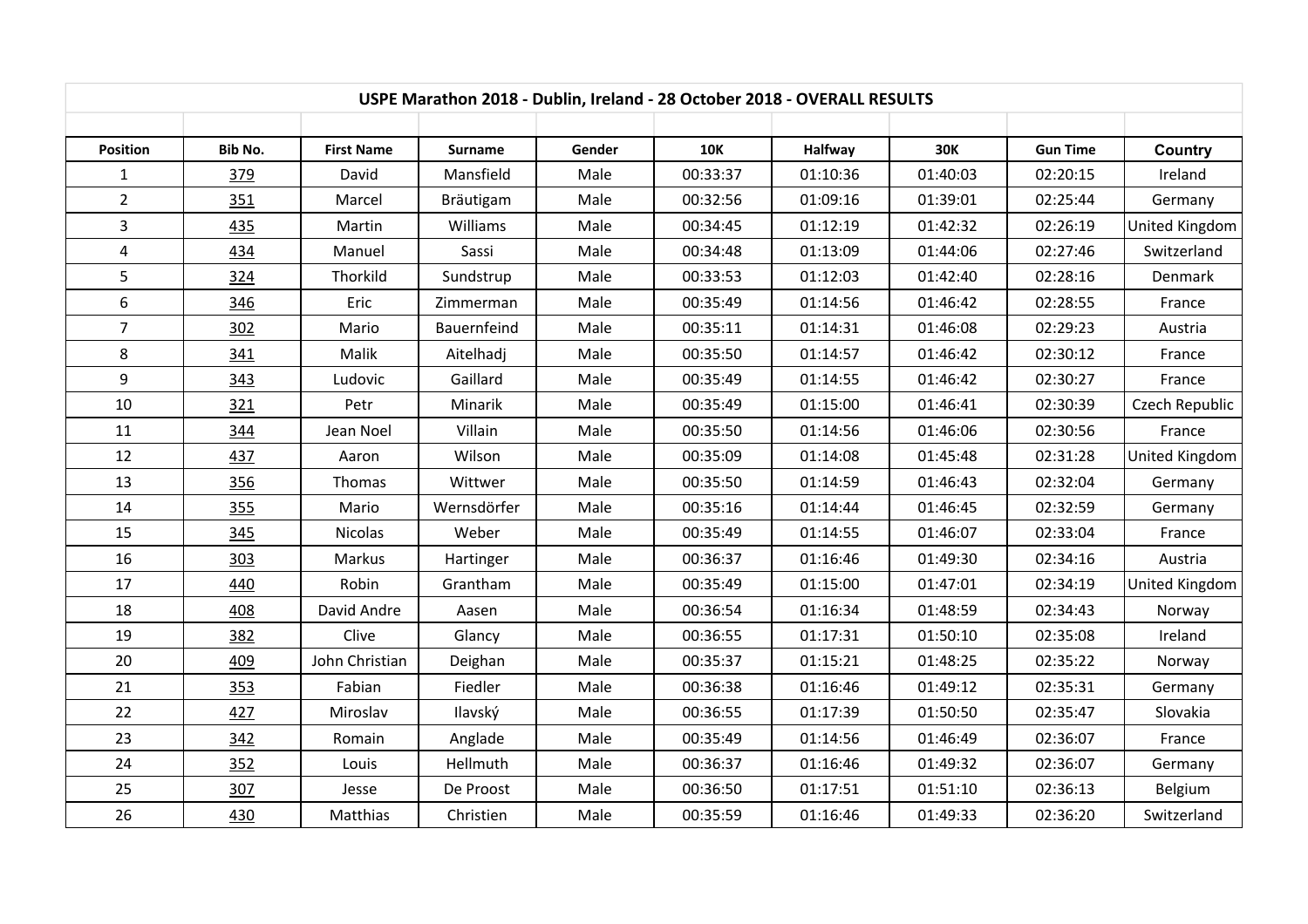| USPE Marathon 2018 - Dublin, Ireland - 28 October 2018 - OVERALL RESULTS |         |                   |             |        |            |                |            |                 |                       |  |
|--------------------------------------------------------------------------|---------|-------------------|-------------|--------|------------|----------------|------------|-----------------|-----------------------|--|
|                                                                          |         |                   |             |        |            |                |            |                 |                       |  |
| Position                                                                 | Bib No. | <b>First Name</b> | Surname     | Gender | <b>10K</b> | <b>Halfway</b> | <b>30K</b> | <b>Gun Time</b> | <b>Country</b>        |  |
| $\mathbf{1}$                                                             | 379     | David             | Mansfield   | Male   | 00:33:37   | 01:10:36       | 01:40:03   | 02:20:15        | Ireland               |  |
| $\overline{2}$                                                           | 351     | Marcel            | Bräutigam   | Male   | 00:32:56   | 01:09:16       | 01:39:01   | 02:25:44        | Germany               |  |
| 3                                                                        | 435     | Martin            | Williams    | Male   | 00:34:45   | 01:12:19       | 01:42:32   | 02:26:19        | <b>United Kingdom</b> |  |
| $\overline{a}$                                                           | 434     | Manuel            | Sassi       | Male   | 00:34:48   | 01:13:09       | 01:44:06   | 02:27:46        | Switzerland           |  |
| 5                                                                        | 324     | Thorkild          | Sundstrup   | Male   | 00:33:53   | 01:12:03       | 01:42:40   | 02:28:16        | Denmark               |  |
| $\boldsymbol{6}$                                                         | 346     | Eric              | Zimmerman   | Male   | 00:35:49   | 01:14:56       | 01:46:42   | 02:28:55        | France                |  |
| $\overline{7}$                                                           | 302     | Mario             | Bauernfeind | Male   | 00:35:11   | 01:14:31       | 01:46:08   | 02:29:23        | Austria               |  |
| 8                                                                        | 341     | Malik             | Aitelhadj   | Male   | 00:35:50   | 01:14:57       | 01:46:42   | 02:30:12        | France                |  |
| 9                                                                        | 343     | Ludovic           | Gaillard    | Male   | 00:35:49   | 01:14:55       | 01:46:42   | 02:30:27        | France                |  |
| 10                                                                       | 321     | Petr              | Minarik     | Male   | 00:35:49   | 01:15:00       | 01:46:41   | 02:30:39        | Czech Republic        |  |
| 11                                                                       | 344     | Jean Noel         | Villain     | Male   | 00:35:50   | 01:14:56       | 01:46:06   | 02:30:56        | France                |  |
| 12                                                                       | 437     | Aaron             | Wilson      | Male   | 00:35:09   | 01:14:08       | 01:45:48   | 02:31:28        | United Kingdom        |  |
| 13                                                                       | 356     | Thomas            | Wittwer     | Male   | 00:35:50   | 01:14:59       | 01:46:43   | 02:32:04        | Germany               |  |
| 14                                                                       | 355     | Mario             | Wernsdörfer | Male   | 00:35:16   | 01:14:44       | 01:46:45   | 02:32:59        | Germany               |  |
| 15                                                                       | 345     | Nicolas           | Weber       | Male   | 00:35:49   | 01:14:55       | 01:46:07   | 02:33:04        | France                |  |
| 16                                                                       | 303     | Markus            | Hartinger   | Male   | 00:36:37   | 01:16:46       | 01:49:30   | 02:34:16        | Austria               |  |
| 17                                                                       | 440     | Robin             | Grantham    | Male   | 00:35:49   | 01:15:00       | 01:47:01   | 02:34:19        | United Kingdom        |  |
| 18                                                                       | 408     | David Andre       | Aasen       | Male   | 00:36:54   | 01:16:34       | 01:48:59   | 02:34:43        | Norway                |  |
| 19                                                                       | 382     | Clive             | Glancy      | Male   | 00:36:55   | 01:17:31       | 01:50:10   | 02:35:08        | Ireland               |  |
| 20                                                                       | 409     | John Christian    | Deighan     | Male   | 00:35:37   | 01:15:21       | 01:48:25   | 02:35:22        | Norway                |  |
| 21                                                                       | 353     | Fabian            | Fiedler     | Male   | 00:36:38   | 01:16:46       | 01:49:12   | 02:35:31        | Germany               |  |
| 22                                                                       | 427     | Miroslav          | Ilavský     | Male   | 00:36:55   | 01:17:39       | 01:50:50   | 02:35:47        | Slovakia              |  |
| 23                                                                       | 342     | Romain            | Anglade     | Male   | 00:35:49   | 01:14:56       | 01:46:49   | 02:36:07        | France                |  |
| 24                                                                       | 352     | Louis             | Hellmuth    | Male   | 00:36:37   | 01:16:46       | 01:49:32   | 02:36:07        | Germany               |  |
| 25                                                                       | 307     | Jesse             | De Proost   | Male   | 00:36:50   | 01:17:51       | 01:51:10   | 02:36:13        | Belgium               |  |
| 26                                                                       | 430     | Matthias          | Christien   | Male   | 00:35:59   | 01:16:46       | 01:49:33   | 02:36:20        | Switzerland           |  |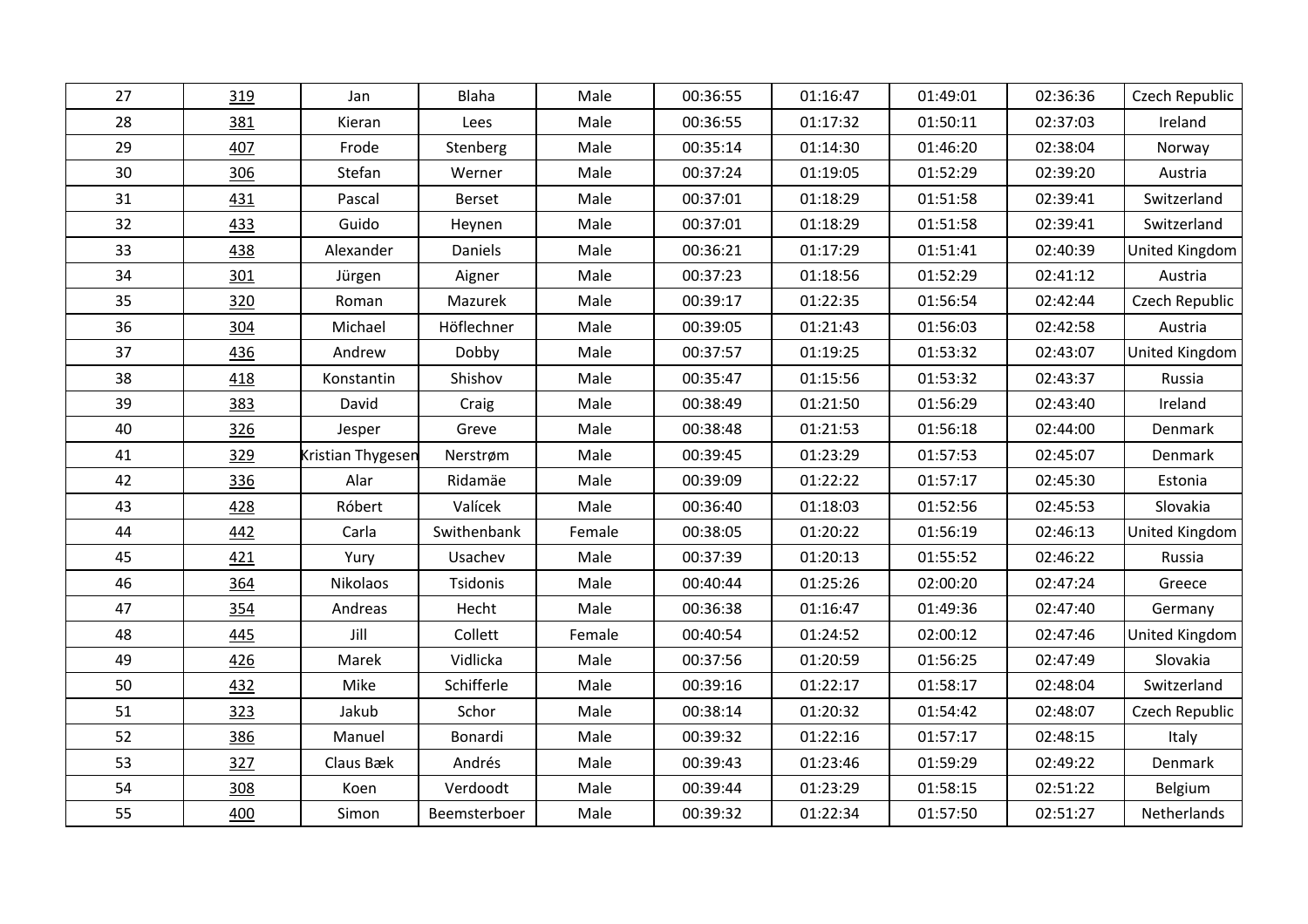| 27 | 319 | Jan               | Blaha        | Male   | 00:36:55 | 01:16:47 | 01:49:01 | 02:36:36 | Czech Republic |
|----|-----|-------------------|--------------|--------|----------|----------|----------|----------|----------------|
| 28 | 381 | Kieran            | Lees         | Male   | 00:36:55 | 01:17:32 | 01:50:11 | 02:37:03 | Ireland        |
| 29 | 407 | Frode             | Stenberg     | Male   | 00:35:14 | 01:14:30 | 01:46:20 | 02:38:04 | Norway         |
| 30 | 306 | Stefan            | Werner       | Male   | 00:37:24 | 01:19:05 | 01:52:29 | 02:39:20 | Austria        |
| 31 | 431 | Pascal            | Berset       | Male   | 00:37:01 | 01:18:29 | 01:51:58 | 02:39:41 | Switzerland    |
| 32 | 433 | Guido             | Heynen       | Male   | 00:37:01 | 01:18:29 | 01:51:58 | 02:39:41 | Switzerland    |
| 33 | 438 | Alexander         | Daniels      | Male   | 00:36:21 | 01:17:29 | 01:51:41 | 02:40:39 | United Kingdom |
| 34 | 301 | Jürgen            | Aigner       | Male   | 00:37:23 | 01:18:56 | 01:52:29 | 02:41:12 | Austria        |
| 35 | 320 | Roman             | Mazurek      | Male   | 00:39:17 | 01:22:35 | 01:56:54 | 02:42:44 | Czech Republic |
| 36 | 304 | Michael           | Höflechner   | Male   | 00:39:05 | 01:21:43 | 01:56:03 | 02:42:58 | Austria        |
| 37 | 436 | Andrew            | Dobby        | Male   | 00:37:57 | 01:19:25 | 01:53:32 | 02:43:07 | United Kingdom |
| 38 | 418 | Konstantin        | Shishov      | Male   | 00:35:47 | 01:15:56 | 01:53:32 | 02:43:37 | Russia         |
| 39 | 383 | David             | Craig        | Male   | 00:38:49 | 01:21:50 | 01:56:29 | 02:43:40 | Ireland        |
| 40 | 326 | Jesper            | Greve        | Male   | 00:38:48 | 01:21:53 | 01:56:18 | 02:44:00 | Denmark        |
| 41 | 329 | Kristian Thygesen | Nerstrøm     | Male   | 00:39:45 | 01:23:29 | 01:57:53 | 02:45:07 | Denmark        |
| 42 | 336 | Alar              | Ridamäe      | Male   | 00:39:09 | 01:22:22 | 01:57:17 | 02:45:30 | Estonia        |
| 43 | 428 | Róbert            | Valícek      | Male   | 00:36:40 | 01:18:03 | 01:52:56 | 02:45:53 | Slovakia       |
| 44 | 442 | Carla             | Swithenbank  | Female | 00:38:05 | 01:20:22 | 01:56:19 | 02:46:13 | United Kingdom |
| 45 | 421 | Yury              | Usachev      | Male   | 00:37:39 | 01:20:13 | 01:55:52 | 02:46:22 | Russia         |
| 46 | 364 | Nikolaos          | Tsidonis     | Male   | 00:40:44 | 01:25:26 | 02:00:20 | 02:47:24 | Greece         |
| 47 | 354 | Andreas           | Hecht        | Male   | 00:36:38 | 01:16:47 | 01:49:36 | 02:47:40 | Germany        |
| 48 | 445 | Jill              | Collett      | Female | 00:40:54 | 01:24:52 | 02:00:12 | 02:47:46 | United Kingdom |
| 49 | 426 | Marek             | Vidlicka     | Male   | 00:37:56 | 01:20:59 | 01:56:25 | 02:47:49 | Slovakia       |
| 50 | 432 | Mike              | Schifferle   | Male   | 00:39:16 | 01:22:17 | 01:58:17 | 02:48:04 | Switzerland    |
| 51 | 323 | Jakub             | Schor        | Male   | 00:38:14 | 01:20:32 | 01:54:42 | 02:48:07 | Czech Republic |
| 52 | 386 | Manuel            | Bonardi      | Male   | 00:39:32 | 01:22:16 | 01:57:17 | 02:48:15 | Italy          |
| 53 | 327 | Claus Bæk         | Andrés       | Male   | 00:39:43 | 01:23:46 | 01:59:29 | 02:49:22 | Denmark        |
| 54 | 308 | Koen              | Verdoodt     | Male   | 00:39:44 | 01:23:29 | 01:58:15 | 02:51:22 | Belgium        |
| 55 | 400 | Simon             | Beemsterboer | Male   | 00:39:32 | 01:22:34 | 01:57:50 | 02:51:27 | Netherlands    |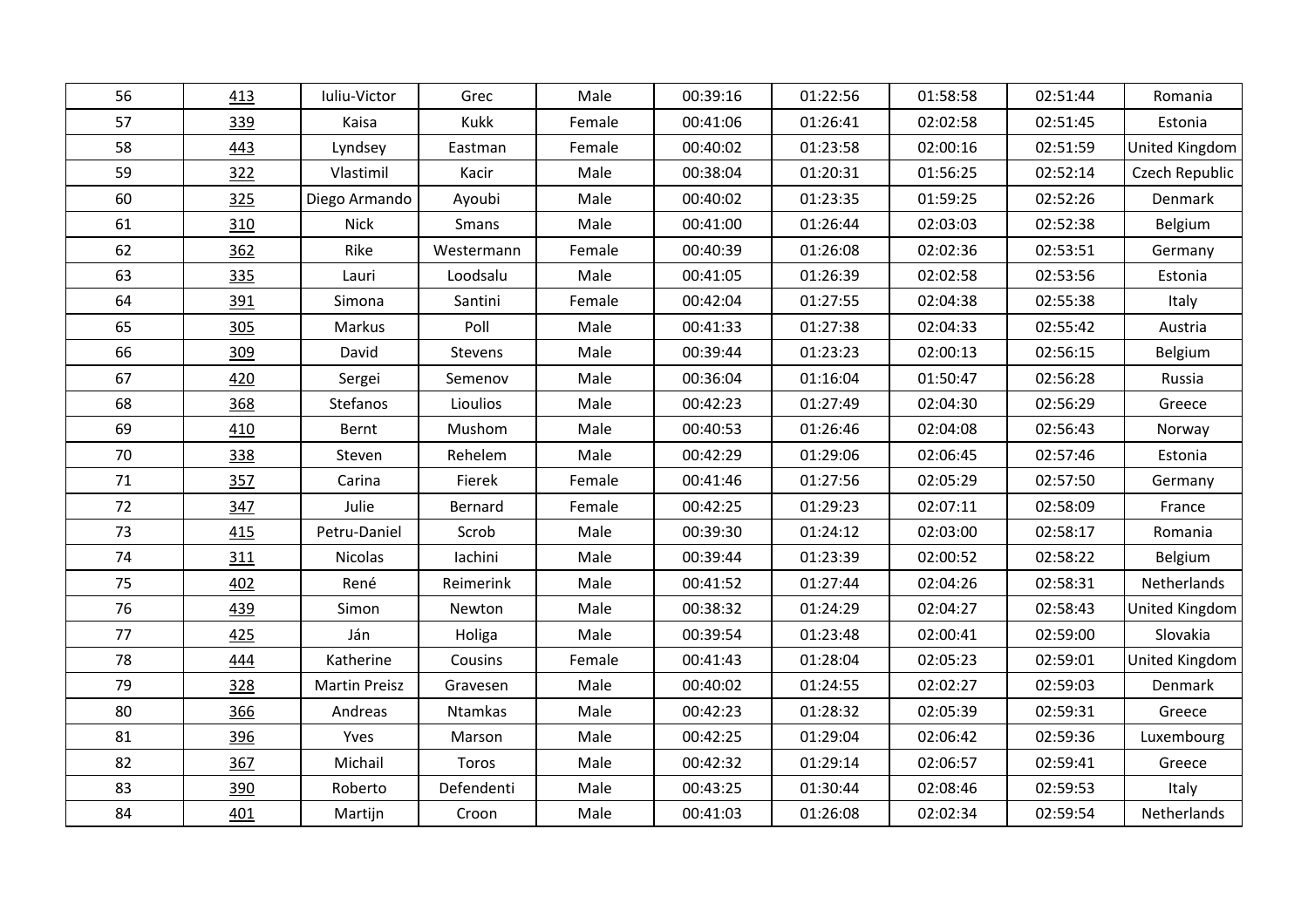| 56 | 413 | Iuliu-Victor         | Grec       | Male   | 00:39:16 | 01:22:56 | 01:58:58 | 02:51:44 | Romania        |
|----|-----|----------------------|------------|--------|----------|----------|----------|----------|----------------|
| 57 | 339 | Kaisa                | Kukk       | Female | 00:41:06 | 01:26:41 | 02:02:58 | 02:51:45 | Estonia        |
| 58 | 443 | Lyndsey              | Eastman    | Female | 00:40:02 | 01:23:58 | 02:00:16 | 02:51:59 | United Kingdom |
| 59 | 322 | Vlastimil            | Kacir      | Male   | 00:38:04 | 01:20:31 | 01:56:25 | 02:52:14 | Czech Republic |
| 60 | 325 | Diego Armando        | Ayoubi     | Male   | 00:40:02 | 01:23:35 | 01:59:25 | 02:52:26 | Denmark        |
| 61 | 310 | <b>Nick</b>          | Smans      | Male   | 00:41:00 | 01:26:44 | 02:03:03 | 02:52:38 | Belgium        |
| 62 | 362 | Rike                 | Westermann | Female | 00:40:39 | 01:26:08 | 02:02:36 | 02:53:51 | Germany        |
| 63 | 335 | Lauri                | Loodsalu   | Male   | 00:41:05 | 01:26:39 | 02:02:58 | 02:53:56 | Estonia        |
| 64 | 391 | Simona               | Santini    | Female | 00:42:04 | 01:27:55 | 02:04:38 | 02:55:38 | Italy          |
| 65 | 305 | Markus               | Poll       | Male   | 00:41:33 | 01:27:38 | 02:04:33 | 02:55:42 | Austria        |
| 66 | 309 | David                | Stevens    | Male   | 00:39:44 | 01:23:23 | 02:00:13 | 02:56:15 | Belgium        |
| 67 | 420 | Sergei               | Semenov    | Male   | 00:36:04 | 01:16:04 | 01:50:47 | 02:56:28 | Russia         |
| 68 | 368 | Stefanos             | Lioulios   | Male   | 00:42:23 | 01:27:49 | 02:04:30 | 02:56:29 | Greece         |
| 69 | 410 | Bernt                | Mushom     | Male   | 00:40:53 | 01:26:46 | 02:04:08 | 02:56:43 | Norway         |
| 70 | 338 | Steven               | Rehelem    | Male   | 00:42:29 | 01:29:06 | 02:06:45 | 02:57:46 | Estonia        |
| 71 | 357 | Carina               | Fierek     | Female | 00:41:46 | 01:27:56 | 02:05:29 | 02:57:50 | Germany        |
| 72 | 347 | Julie                | Bernard    | Female | 00:42:25 | 01:29:23 | 02:07:11 | 02:58:09 | France         |
| 73 | 415 | Petru-Daniel         | Scrob      | Male   | 00:39:30 | 01:24:12 | 02:03:00 | 02:58:17 | Romania        |
| 74 | 311 | Nicolas              | lachini    | Male   | 00:39:44 | 01:23:39 | 02:00:52 | 02:58:22 | Belgium        |
| 75 | 402 | René                 | Reimerink  | Male   | 00:41:52 | 01:27:44 | 02:04:26 | 02:58:31 | Netherlands    |
| 76 | 439 | Simon                | Newton     | Male   | 00:38:32 | 01:24:29 | 02:04:27 | 02:58:43 | United Kingdom |
| 77 | 425 | Ján                  | Holiga     | Male   | 00:39:54 | 01:23:48 | 02:00:41 | 02:59:00 | Slovakia       |
| 78 | 444 | Katherine            | Cousins    | Female | 00:41:43 | 01:28:04 | 02:05:23 | 02:59:01 | United Kingdom |
| 79 | 328 | <b>Martin Preisz</b> | Gravesen   | Male   | 00:40:02 | 01:24:55 | 02:02:27 | 02:59:03 | Denmark        |
| 80 | 366 | Andreas              | Ntamkas    | Male   | 00:42:23 | 01:28:32 | 02:05:39 | 02:59:31 | Greece         |
| 81 | 396 | Yves                 | Marson     | Male   | 00:42:25 | 01:29:04 | 02:06:42 | 02:59:36 | Luxembourg     |
| 82 | 367 | Michail              | Toros      | Male   | 00:42:32 | 01:29:14 | 02:06:57 | 02:59:41 | Greece         |
| 83 | 390 | Roberto              | Defendenti | Male   | 00:43:25 | 01:30:44 | 02:08:46 | 02:59:53 | Italy          |
| 84 | 401 | Martijn              | Croon      | Male   | 00:41:03 | 01:26:08 | 02:02:34 | 02:59:54 | Netherlands    |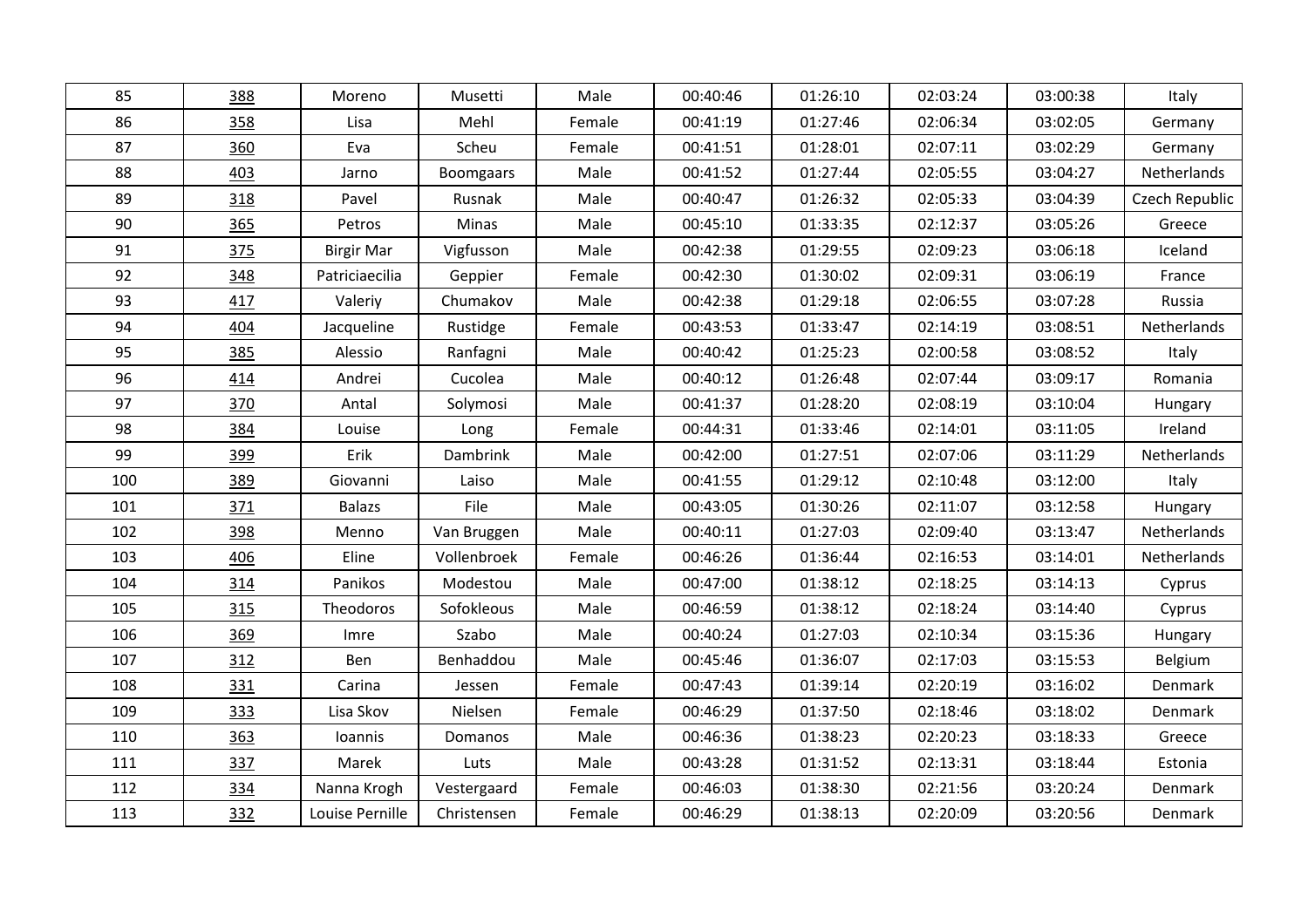| 85  | 388 | Moreno            | Musetti          | Male   | 00:40:46 | 01:26:10 | 02:03:24 | 03:00:38 | Italy          |
|-----|-----|-------------------|------------------|--------|----------|----------|----------|----------|----------------|
| 86  | 358 | Lisa              | Mehl             | Female | 00:41:19 | 01:27:46 | 02:06:34 | 03:02:05 | Germany        |
| 87  | 360 | Eva               | Scheu            | Female | 00:41:51 | 01:28:01 | 02:07:11 | 03:02:29 | Germany        |
| 88  | 403 | Jarno             | <b>Boomgaars</b> | Male   | 00:41:52 | 01:27:44 | 02:05:55 | 03:04:27 | Netherlands    |
| 89  | 318 | Pavel             | Rusnak           | Male   | 00:40:47 | 01:26:32 | 02:05:33 | 03:04:39 | Czech Republic |
| 90  | 365 | Petros            | Minas            | Male   | 00:45:10 | 01:33:35 | 02:12:37 | 03:05:26 | Greece         |
| 91  | 375 | <b>Birgir Mar</b> | Vigfusson        | Male   | 00:42:38 | 01:29:55 | 02:09:23 | 03:06:18 | Iceland        |
| 92  | 348 | Patriciaecilia    | Geppier          | Female | 00:42:30 | 01:30:02 | 02:09:31 | 03:06:19 | France         |
| 93  | 417 | Valeriy           | Chumakov         | Male   | 00:42:38 | 01:29:18 | 02:06:55 | 03:07:28 | Russia         |
| 94  | 404 | Jacqueline        | Rustidge         | Female | 00:43:53 | 01:33:47 | 02:14:19 | 03:08:51 | Netherlands    |
| 95  | 385 | Alessio           | Ranfagni         | Male   | 00:40:42 | 01:25:23 | 02:00:58 | 03:08:52 | Italy          |
| 96  | 414 | Andrei            | Cucolea          | Male   | 00:40:12 | 01:26:48 | 02:07:44 | 03:09:17 | Romania        |
| 97  | 370 | Antal             | Solymosi         | Male   | 00:41:37 | 01:28:20 | 02:08:19 | 03:10:04 | Hungary        |
| 98  | 384 | Louise            | Long             | Female | 00:44:31 | 01:33:46 | 02:14:01 | 03:11:05 | Ireland        |
| 99  | 399 | Erik              | <b>Dambrink</b>  | Male   | 00:42:00 | 01:27:51 | 02:07:06 | 03:11:29 | Netherlands    |
| 100 | 389 | Giovanni          | Laiso            | Male   | 00:41:55 | 01:29:12 | 02:10:48 | 03:12:00 | Italy          |
| 101 | 371 | <b>Balazs</b>     | File             | Male   | 00:43:05 | 01:30:26 | 02:11:07 | 03:12:58 | Hungary        |
| 102 | 398 | Menno             | Van Bruggen      | Male   | 00:40:11 | 01:27:03 | 02:09:40 | 03:13:47 | Netherlands    |
| 103 | 406 | Eline             | Vollenbroek      | Female | 00:46:26 | 01:36:44 | 02:16:53 | 03:14:01 | Netherlands    |
| 104 | 314 | Panikos           | Modestou         | Male   | 00:47:00 | 01:38:12 | 02:18:25 | 03:14:13 | Cyprus         |
| 105 | 315 | Theodoros         | Sofokleous       | Male   | 00:46:59 | 01:38:12 | 02:18:24 | 03:14:40 | Cyprus         |
| 106 | 369 | Imre              | Szabo            | Male   | 00:40:24 | 01:27:03 | 02:10:34 | 03:15:36 | Hungary        |
| 107 | 312 | Ben               | Benhaddou        | Male   | 00:45:46 | 01:36:07 | 02:17:03 | 03:15:53 | Belgium        |
| 108 | 331 | Carina            | Jessen           | Female | 00:47:43 | 01:39:14 | 02:20:19 | 03:16:02 | Denmark        |
| 109 | 333 | Lisa Skov         | Nielsen          | Female | 00:46:29 | 01:37:50 | 02:18:46 | 03:18:02 | Denmark        |
| 110 | 363 | Ioannis           | Domanos          | Male   | 00:46:36 | 01:38:23 | 02:20:23 | 03:18:33 | Greece         |
| 111 | 337 | Marek             | Luts             | Male   | 00:43:28 | 01:31:52 | 02:13:31 | 03:18:44 | Estonia        |
| 112 | 334 | Nanna Krogh       | Vestergaard      | Female | 00:46:03 | 01:38:30 | 02:21:56 | 03:20:24 | Denmark        |
| 113 | 332 | Louise Pernille   | Christensen      | Female | 00:46:29 | 01:38:13 | 02:20:09 | 03:20:56 | Denmark        |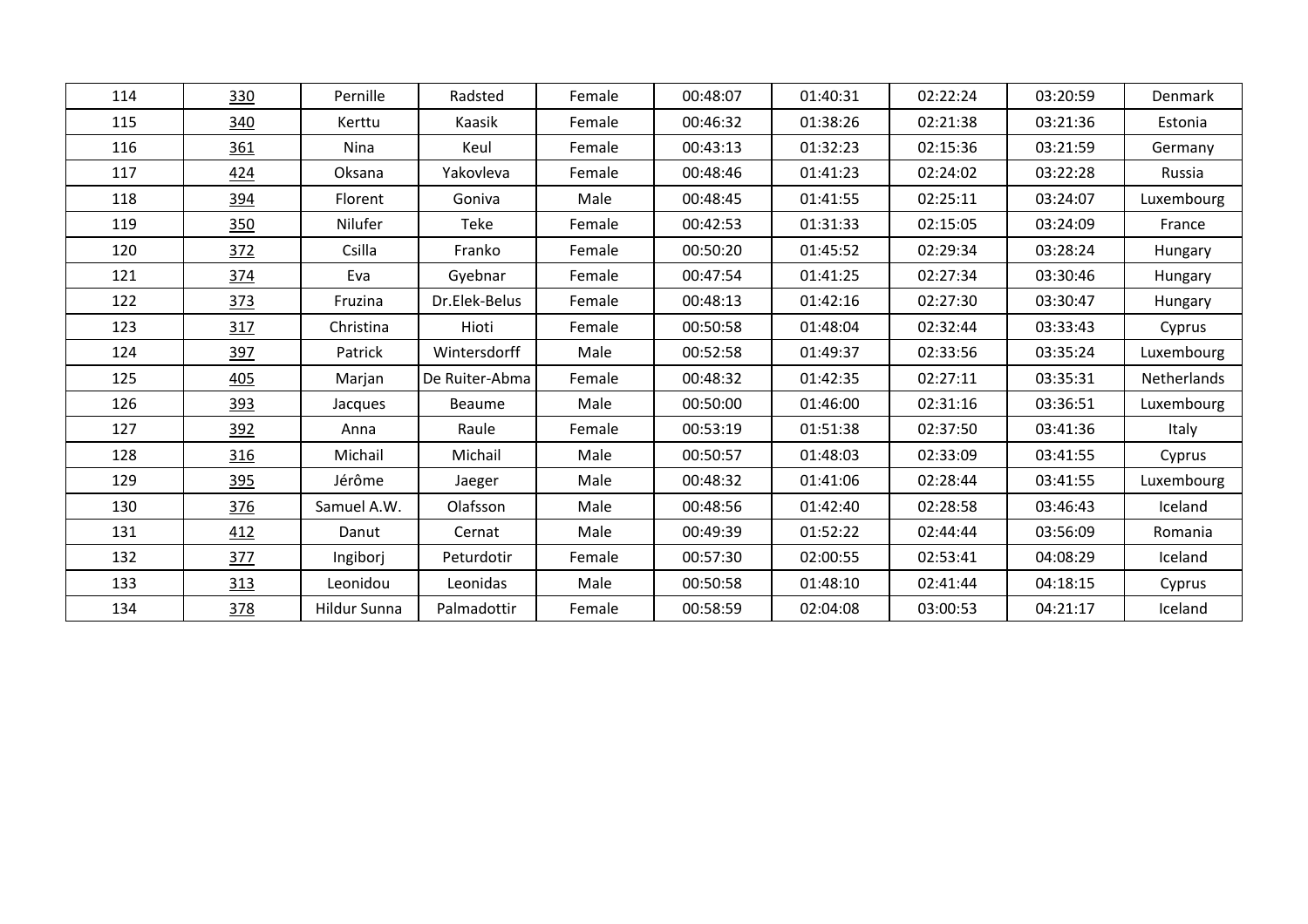| 114 | 330 | Pernille     | Radsted        | Female | 00:48:07 | 01:40:31 | 02:22:24 | 03:20:59 | <b>Denmark</b> |
|-----|-----|--------------|----------------|--------|----------|----------|----------|----------|----------------|
| 115 | 340 | Kerttu       | Kaasik         | Female | 00:46:32 | 01:38:26 | 02:21:38 | 03:21:36 | Estonia        |
| 116 | 361 | Nina         | Keul           | Female | 00:43:13 | 01:32:23 | 02:15:36 | 03:21:59 | Germany        |
| 117 | 424 | Oksana       | Yakovleva      | Female | 00:48:46 | 01:41:23 | 02:24:02 | 03:22:28 | Russia         |
| 118 | 394 | Florent      | Goniva         | Male   | 00:48:45 | 01:41:55 | 02:25:11 | 03:24:07 | Luxembourg     |
| 119 | 350 | Nilufer      | Teke           | Female | 00:42:53 | 01:31:33 | 02:15:05 | 03:24:09 | France         |
| 120 | 372 | Csilla       | Franko         | Female | 00:50:20 | 01:45:52 | 02:29:34 | 03:28:24 | Hungary        |
| 121 | 374 | Eva          | Gyebnar        | Female | 00:47:54 | 01:41:25 | 02:27:34 | 03:30:46 | Hungary        |
| 122 | 373 | Fruzina      | Dr.Elek-Belus  | Female | 00:48:13 | 01:42:16 | 02:27:30 | 03:30:47 | Hungary        |
| 123 | 317 | Christina    | Hioti          | Female | 00:50:58 | 01:48:04 | 02:32:44 | 03:33:43 | Cyprus         |
| 124 | 397 | Patrick      | Wintersdorff   | Male   | 00:52:58 | 01:49:37 | 02:33:56 | 03:35:24 | Luxembourg     |
| 125 | 405 | Marjan       | De Ruiter-Abma | Female | 00:48:32 | 01:42:35 | 02:27:11 | 03:35:31 | Netherlands    |
| 126 | 393 | Jacques      | Beaume         | Male   | 00:50:00 | 01:46:00 | 02:31:16 | 03:36:51 | Luxembourg     |
| 127 | 392 | Anna         | Raule          | Female | 00:53:19 | 01:51:38 | 02:37:50 | 03:41:36 | Italy          |
| 128 | 316 | Michail      | Michail        | Male   | 00:50:57 | 01:48:03 | 02:33:09 | 03:41:55 | Cyprus         |
| 129 | 395 | Jérôme       | Jaeger         | Male   | 00:48:32 | 01:41:06 | 02:28:44 | 03:41:55 | Luxembourg     |
| 130 | 376 | Samuel A.W.  | Olafsson       | Male   | 00:48:56 | 01:42:40 | 02:28:58 | 03:46:43 | Iceland        |
| 131 | 412 | Danut        | Cernat         | Male   | 00:49:39 | 01:52:22 | 02:44:44 | 03:56:09 | Romania        |
| 132 | 377 | Ingiborj     | Peturdotir     | Female | 00:57:30 | 02:00:55 | 02:53:41 | 04:08:29 | Iceland        |
| 133 | 313 | Leonidou     | Leonidas       | Male   | 00:50:58 | 01:48:10 | 02:41:44 | 04:18:15 | Cyprus         |
| 134 | 378 | Hildur Sunna | Palmadottir    | Female | 00:58:59 | 02:04:08 | 03:00:53 | 04:21:17 | Iceland        |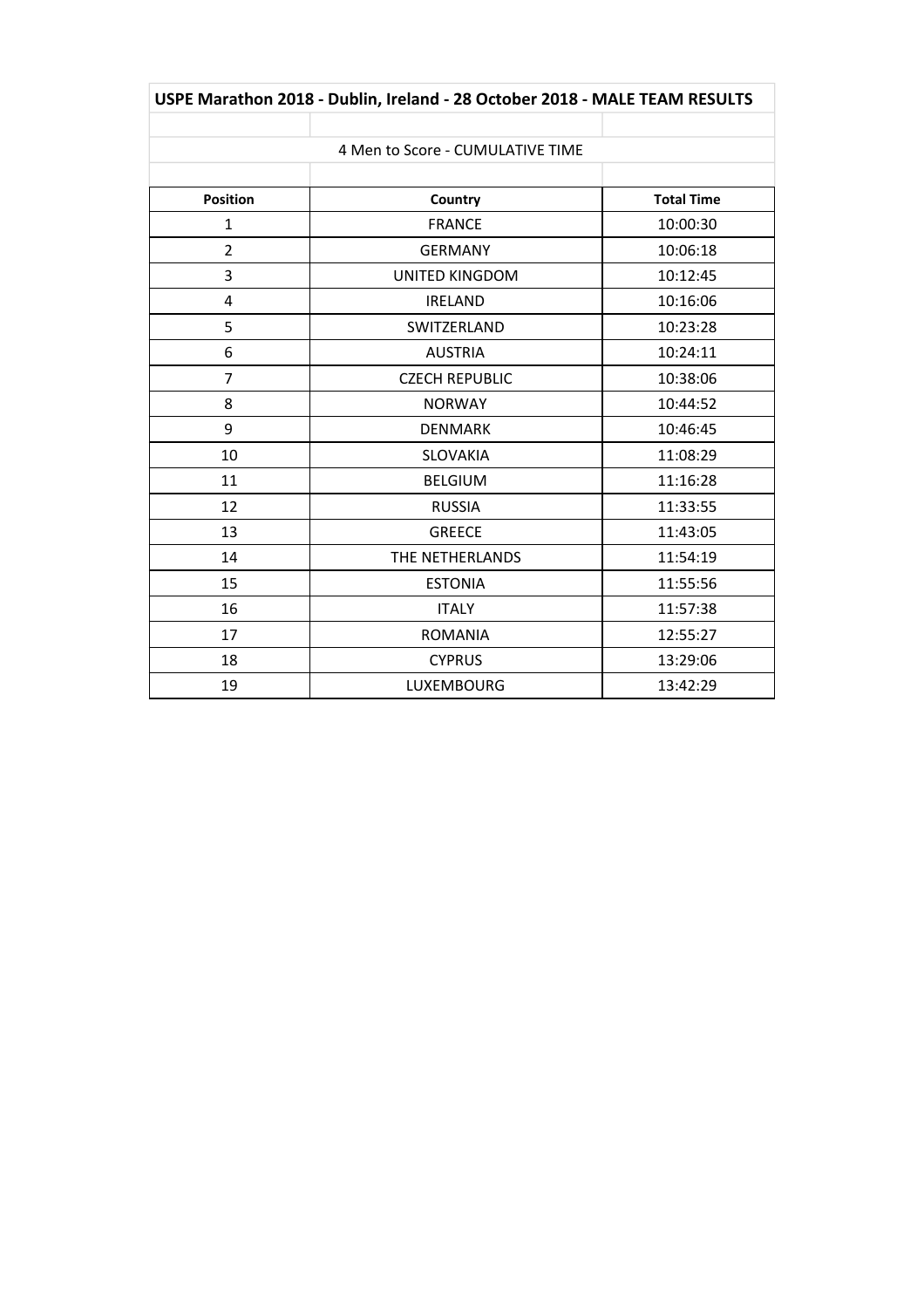| USPE Marathon 2018 - Dublin, Ireland - 28 October 2018 - MALE TEAM RESULTS |                                  |                   |  |  |  |  |  |  |
|----------------------------------------------------------------------------|----------------------------------|-------------------|--|--|--|--|--|--|
|                                                                            |                                  |                   |  |  |  |  |  |  |
|                                                                            | 4 Men to Score - CUMULATIVE TIME |                   |  |  |  |  |  |  |
|                                                                            |                                  |                   |  |  |  |  |  |  |
| <b>Position</b>                                                            | Country                          | <b>Total Time</b> |  |  |  |  |  |  |
| $\mathbf{1}$                                                               | <b>FRANCE</b>                    | 10:00:30          |  |  |  |  |  |  |
| 2                                                                          | <b>GERMANY</b>                   | 10:06:18          |  |  |  |  |  |  |
| 3                                                                          | <b>UNITED KINGDOM</b>            | 10:12:45          |  |  |  |  |  |  |
| 4                                                                          | <b>IRELAND</b>                   | 10:16:06          |  |  |  |  |  |  |
| 5                                                                          | SWITZERLAND                      | 10:23:28          |  |  |  |  |  |  |
| 6                                                                          | <b>AUSTRIA</b>                   | 10:24:11          |  |  |  |  |  |  |
| 7                                                                          | <b>CZECH REPUBLIC</b>            | 10:38:06          |  |  |  |  |  |  |
| 8                                                                          | <b>NORWAY</b>                    | 10:44:52          |  |  |  |  |  |  |
| 9                                                                          | <b>DENMARK</b>                   | 10:46:45          |  |  |  |  |  |  |
| 10                                                                         | <b>SLOVAKIA</b>                  | 11:08:29          |  |  |  |  |  |  |
| 11                                                                         | <b>BELGIUM</b>                   | 11:16:28          |  |  |  |  |  |  |
| 12                                                                         | <b>RUSSIA</b>                    | 11:33:55          |  |  |  |  |  |  |
| 13                                                                         | <b>GREECE</b>                    | 11:43:05          |  |  |  |  |  |  |
| 14                                                                         | THE NETHERLANDS                  | 11:54:19          |  |  |  |  |  |  |
| 15                                                                         | <b>ESTONIA</b>                   | 11:55:56          |  |  |  |  |  |  |
| 16                                                                         | <b>ITALY</b>                     | 11:57:38          |  |  |  |  |  |  |
| 17                                                                         | <b>ROMANIA</b>                   | 12:55:27          |  |  |  |  |  |  |
| 18                                                                         | <b>CYPRUS</b>                    | 13:29:06          |  |  |  |  |  |  |
| 19                                                                         | <b>LUXEMBOURG</b>                | 13:42:29          |  |  |  |  |  |  |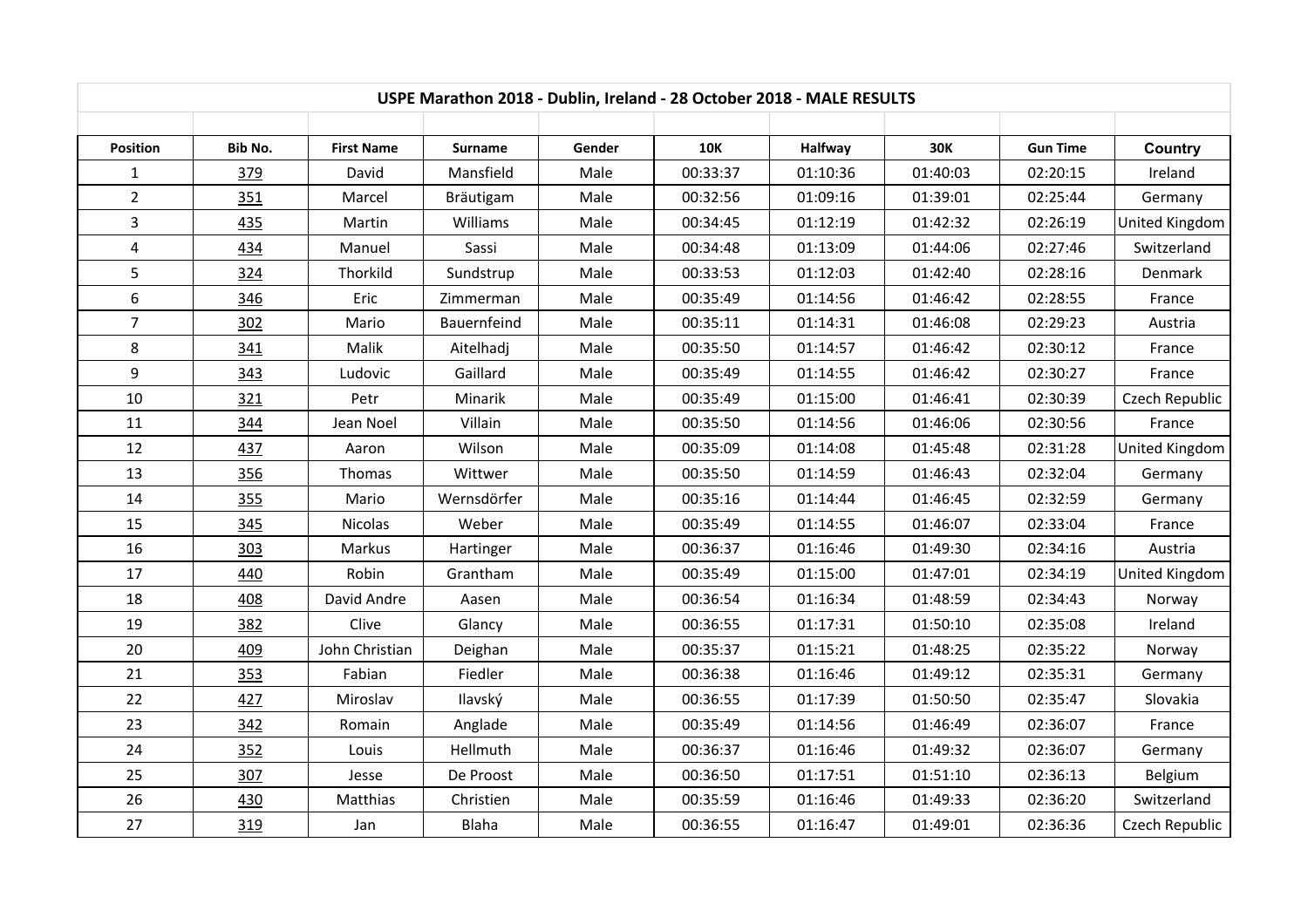| USPE Marathon 2018 - Dublin, Ireland - 28 October 2018 - MALE RESULTS |            |                   |             |        |            |          |            |                 |                |  |
|-----------------------------------------------------------------------|------------|-------------------|-------------|--------|------------|----------|------------|-----------------|----------------|--|
| Position                                                              | Bib No.    | <b>First Name</b> | Surname     | Gender | <b>10K</b> | Halfway  | <b>30K</b> | <b>Gun Time</b> | Country        |  |
| 1                                                                     | 379        | David             | Mansfield   | Male   | 00:33:37   | 01:10:36 | 01:40:03   | 02:20:15        | Ireland        |  |
| $\overline{2}$                                                        | 351        | Marcel            | Bräutigam   | Male   | 00:32:56   | 01:09:16 | 01:39:01   | 02:25:44        | Germany        |  |
| $\overline{3}$                                                        | 435        | Martin            | Williams    | Male   | 00:34:45   | 01:12:19 | 01:42:32   | 02:26:19        | United Kingdom |  |
| $\overline{4}$                                                        | 434        | Manuel            | Sassi       | Male   | 00:34:48   | 01:13:09 | 01:44:06   | 02:27:46        | Switzerland    |  |
| 5                                                                     | 324        | Thorkild          | Sundstrup   | Male   | 00:33:53   | 01:12:03 | 01:42:40   | 02:28:16        | Denmark        |  |
| $6\,$                                                                 | 346        | Eric              | Zimmerman   | Male   | 00:35:49   | 01:14:56 | 01:46:42   | 02:28:55        | France         |  |
| $\overline{7}$                                                        | 302        | Mario             | Bauernfeind | Male   | 00:35:11   | 01:14:31 | 01:46:08   | 02:29:23        | Austria        |  |
| 8                                                                     | 341        | Malik             | Aitelhadj   | Male   | 00:35:50   | 01:14:57 | 01:46:42   | 02:30:12        | France         |  |
| 9                                                                     | 343        | Ludovic           | Gaillard    | Male   | 00:35:49   | 01:14:55 | 01:46:42   | 02:30:27        | France         |  |
| 10                                                                    | 321        | Petr              | Minarik     | Male   | 00:35:49   | 01:15:00 | 01:46:41   | 02:30:39        | Czech Republic |  |
| 11                                                                    | 344        | Jean Noel         | Villain     | Male   | 00:35:50   | 01:14:56 | 01:46:06   | 02:30:56        | France         |  |
| 12                                                                    | <b>437</b> | Aaron             | Wilson      | Male   | 00:35:09   | 01:14:08 | 01:45:48   | 02:31:28        | United Kingdom |  |
| 13                                                                    | 356        | Thomas            | Wittwer     | Male   | 00:35:50   | 01:14:59 | 01:46:43   | 02:32:04        | Germany        |  |
| 14                                                                    | 355        | Mario             | Wernsdörfer | Male   | 00:35:16   | 01:14:44 | 01:46:45   | 02:32:59        | Germany        |  |
| 15                                                                    | 345        | <b>Nicolas</b>    | Weber       | Male   | 00:35:49   | 01:14:55 | 01:46:07   | 02:33:04        | France         |  |
| 16                                                                    | 303        | Markus            | Hartinger   | Male   | 00:36:37   | 01:16:46 | 01:49:30   | 02:34:16        | Austria        |  |
| 17                                                                    | 440        | Robin             | Grantham    | Male   | 00:35:49   | 01:15:00 | 01:47:01   | 02:34:19        | United Kingdom |  |
| 18                                                                    | 408        | David Andre       | Aasen       | Male   | 00:36:54   | 01:16:34 | 01:48:59   | 02:34:43        | Norway         |  |
| 19                                                                    | 382        | Clive             | Glancy      | Male   | 00:36:55   | 01:17:31 | 01:50:10   | 02:35:08        | Ireland        |  |
| 20                                                                    | 409        | John Christian    | Deighan     | Male   | 00:35:37   | 01:15:21 | 01:48:25   | 02:35:22        | Norway         |  |
| 21                                                                    | 353        | Fabian            | Fiedler     | Male   | 00:36:38   | 01:16:46 | 01:49:12   | 02:35:31        | Germany        |  |
| 22                                                                    | <b>427</b> | Miroslav          | Ilavský     | Male   | 00:36:55   | 01:17:39 | 01:50:50   | 02:35:47        | Slovakia       |  |
| 23                                                                    | 342        | Romain            | Anglade     | Male   | 00:35:49   | 01:14:56 | 01:46:49   | 02:36:07        | France         |  |
| 24                                                                    | 352        | Louis             | Hellmuth    | Male   | 00:36:37   | 01:16:46 | 01:49:32   | 02:36:07        | Germany        |  |
| 25                                                                    | 307        | Jesse             | De Proost   | Male   | 00:36:50   | 01:17:51 | 01:51:10   | 02:36:13        | Belgium        |  |
| 26                                                                    | 430        | Matthias          | Christien   | Male   | 00:35:59   | 01:16:46 | 01:49:33   | 02:36:20        | Switzerland    |  |
| 27                                                                    | 319        | Jan               | Blaha       | Male   | 00:36:55   | 01:16:47 | 01:49:01   | 02:36:36        | Czech Republic |  |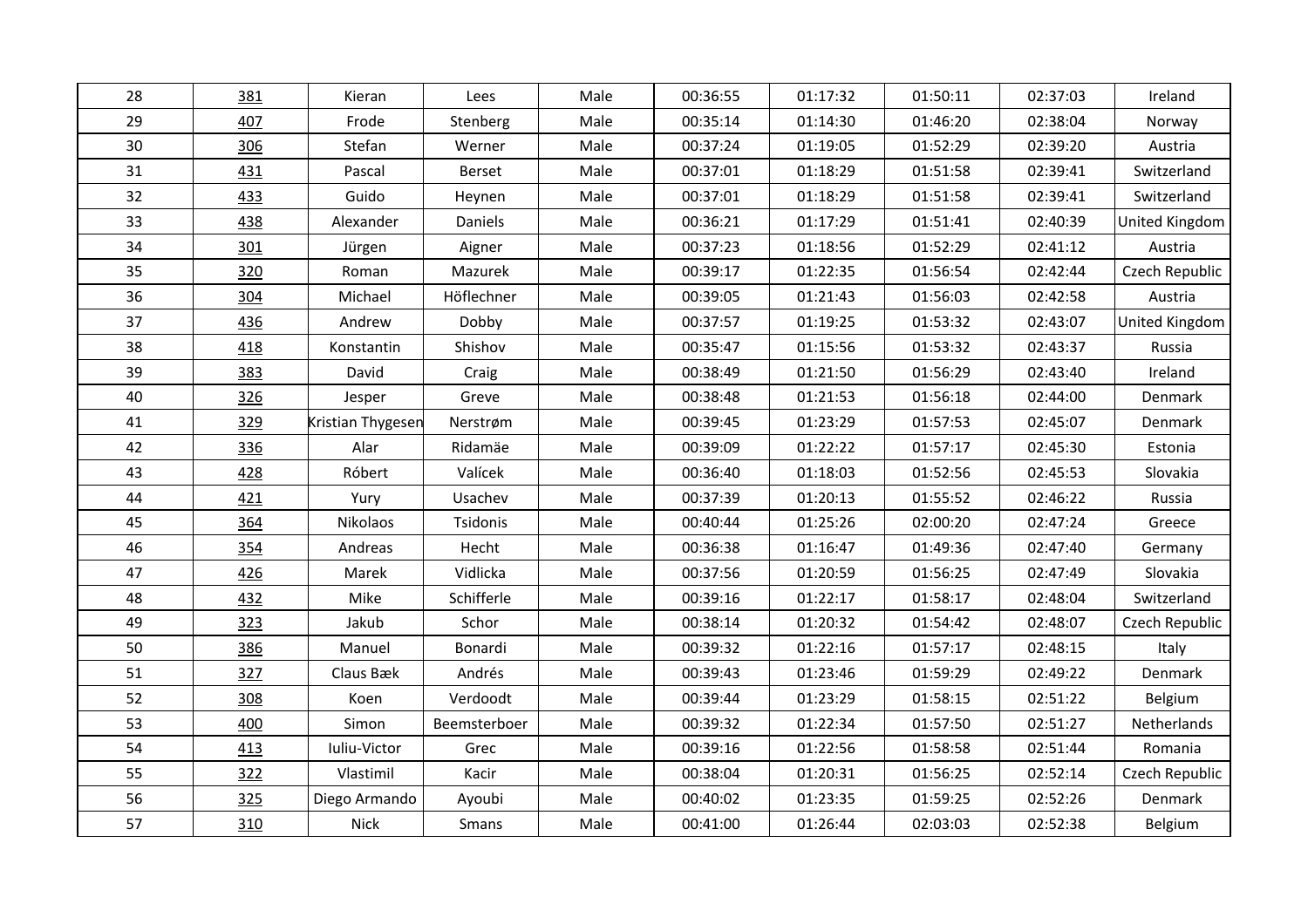| 28 | 381        | Kieran            | Lees         | Male | 00:36:55 | 01:17:32 | 01:50:11 | 02:37:03 | Ireland               |
|----|------------|-------------------|--------------|------|----------|----------|----------|----------|-----------------------|
|    |            |                   |              |      |          |          |          |          |                       |
| 29 | 407        | Frode             | Stenberg     | Male | 00:35:14 | 01:14:30 | 01:46:20 | 02:38:04 | Norway                |
| 30 | 306        | Stefan            | Werner       | Male | 00:37:24 | 01:19:05 | 01:52:29 | 02:39:20 | Austria               |
| 31 | 431        | Pascal            | Berset       | Male | 00:37:01 | 01:18:29 | 01:51:58 | 02:39:41 | Switzerland           |
| 32 | 433        | Guido             | Heynen       | Male | 00:37:01 | 01:18:29 | 01:51:58 | 02:39:41 | Switzerland           |
| 33 | <u>438</u> | Alexander         | Daniels      | Male | 00:36:21 | 01:17:29 | 01:51:41 | 02:40:39 | United Kingdom        |
| 34 | 301        | Jürgen            | Aigner       | Male | 00:37:23 | 01:18:56 | 01:52:29 | 02:41:12 | Austria               |
| 35 | 320        | Roman             | Mazurek      | Male | 00:39:17 | 01:22:35 | 01:56:54 | 02:42:44 | Czech Republic        |
| 36 | 304        | Michael           | Höflechner   | Male | 00:39:05 | 01:21:43 | 01:56:03 | 02:42:58 | Austria               |
| 37 | 436        | Andrew            | Dobby        | Male | 00:37:57 | 01:19:25 | 01:53:32 | 02:43:07 | <b>United Kingdom</b> |
| 38 | 418        | Konstantin        | Shishov      | Male | 00:35:47 | 01:15:56 | 01:53:32 | 02:43:37 | Russia                |
| 39 | 383        | David             | Craig        | Male | 00:38:49 | 01:21:50 | 01:56:29 | 02:43:40 | Ireland               |
| 40 | 326        | Jesper            | Greve        | Male | 00:38:48 | 01:21:53 | 01:56:18 | 02:44:00 | Denmark               |
| 41 | 329        | Kristian Thygesen | Nerstrøm     | Male | 00:39:45 | 01:23:29 | 01:57:53 | 02:45:07 | Denmark               |
| 42 | 336        | Alar              | Ridamäe      | Male | 00:39:09 | 01:22:22 | 01:57:17 | 02:45:30 | Estonia               |
| 43 | 428        | Róbert            | Valícek      | Male | 00:36:40 | 01:18:03 | 01:52:56 | 02:45:53 | Slovakia              |
| 44 | 421        | Yury              | Usachev      | Male | 00:37:39 | 01:20:13 | 01:55:52 | 02:46:22 | Russia                |
| 45 | 364        | Nikolaos          | Tsidonis     | Male | 00:40:44 | 01:25:26 | 02:00:20 | 02:47:24 | Greece                |
| 46 | 354        | Andreas           | Hecht        | Male | 00:36:38 | 01:16:47 | 01:49:36 | 02:47:40 | Germany               |
| 47 | 426        | Marek             | Vidlicka     | Male | 00:37:56 | 01:20:59 | 01:56:25 | 02:47:49 | Slovakia              |
| 48 | 432        | Mike              | Schifferle   | Male | 00:39:16 | 01:22:17 | 01:58:17 | 02:48:04 | Switzerland           |
| 49 | 323        | Jakub             | Schor        | Male | 00:38:14 | 01:20:32 | 01:54:42 | 02:48:07 | Czech Republic        |
| 50 | 386        | Manuel            | Bonardi      | Male | 00:39:32 | 01:22:16 | 01:57:17 | 02:48:15 | Italy                 |
| 51 | 327        | Claus Bæk         | Andrés       | Male | 00:39:43 | 01:23:46 | 01:59:29 | 02:49:22 | Denmark               |
| 52 | 308        | Koen              | Verdoodt     | Male | 00:39:44 | 01:23:29 | 01:58:15 | 02:51:22 | Belgium               |
| 53 | 400        | Simon             | Beemsterboer | Male | 00:39:32 | 01:22:34 | 01:57:50 | 02:51:27 | Netherlands           |
| 54 | 413        | Iuliu-Victor      | Grec         | Male | 00:39:16 | 01:22:56 | 01:58:58 | 02:51:44 | Romania               |
| 55 | 322        | Vlastimil         | Kacir        | Male | 00:38:04 | 01:20:31 | 01:56:25 | 02:52:14 | Czech Republic        |
| 56 | 325        | Diego Armando     | Ayoubi       | Male | 00:40:02 | 01:23:35 | 01:59:25 | 02:52:26 | Denmark               |
| 57 | 310        | <b>Nick</b>       | Smans        | Male | 00:41:00 | 01:26:44 | 02:03:03 | 02:52:38 | Belgium               |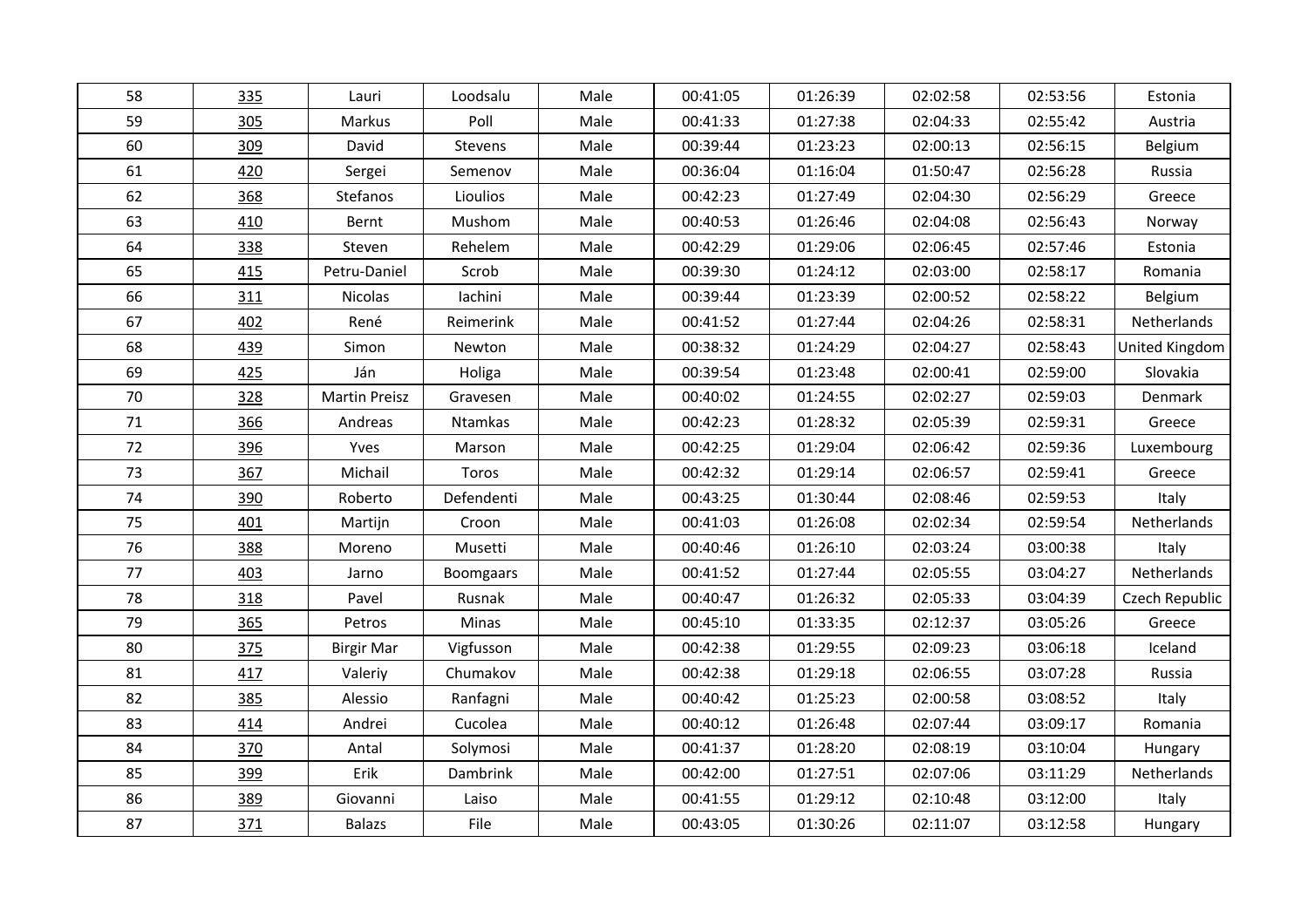| 58 | 335 | Lauri                | Loodsalu         | Male | 00:41:05 | 01:26:39 | 02:02:58 | 02:53:56 | Estonia        |
|----|-----|----------------------|------------------|------|----------|----------|----------|----------|----------------|
| 59 | 305 | Markus               | Poll             | Male | 00:41:33 | 01:27:38 | 02:04:33 | 02:55:42 | Austria        |
| 60 | 309 | David                | Stevens          | Male | 00:39:44 | 01:23:23 | 02:00:13 | 02:56:15 | Belgium        |
| 61 | 420 | Sergei               | Semenov          | Male | 00:36:04 | 01:16:04 | 01:50:47 | 02:56:28 | Russia         |
| 62 | 368 | Stefanos             | Lioulios         | Male | 00:42:23 | 01:27:49 | 02:04:30 | 02:56:29 | Greece         |
| 63 | 410 | Bernt                | Mushom           | Male | 00:40:53 | 01:26:46 | 02:04:08 | 02:56:43 | Norway         |
| 64 | 338 | Steven               | Rehelem          | Male | 00:42:29 | 01:29:06 | 02:06:45 | 02:57:46 | Estonia        |
| 65 | 415 | Petru-Daniel         | Scrob            | Male | 00:39:30 | 01:24:12 | 02:03:00 | 02:58:17 | Romania        |
| 66 | 311 | Nicolas              | lachini          | Male | 00:39:44 | 01:23:39 | 02:00:52 | 02:58:22 | Belgium        |
| 67 | 402 | René                 | Reimerink        | Male | 00:41:52 | 01:27:44 | 02:04:26 | 02:58:31 | Netherlands    |
| 68 | 439 | Simon                | Newton           | Male | 00:38:32 | 01:24:29 | 02:04:27 | 02:58:43 | United Kingdom |
| 69 | 425 | Ján                  | Holiga           | Male | 00:39:54 | 01:23:48 | 02:00:41 | 02:59:00 | Slovakia       |
| 70 | 328 | <b>Martin Preisz</b> | Gravesen         | Male | 00:40:02 | 01:24:55 | 02:02:27 | 02:59:03 | Denmark        |
| 71 | 366 | Andreas              | Ntamkas          | Male | 00:42:23 | 01:28:32 | 02:05:39 | 02:59:31 | Greece         |
| 72 | 396 | Yves                 | Marson           | Male | 00:42:25 | 01:29:04 | 02:06:42 | 02:59:36 | Luxembourg     |
| 73 | 367 | Michail              | Toros            | Male | 00:42:32 | 01:29:14 | 02:06:57 | 02:59:41 | Greece         |
| 74 | 390 | Roberto              | Defendenti       | Male | 00:43:25 | 01:30:44 | 02:08:46 | 02:59:53 | Italy          |
| 75 | 401 | Martijn              | Croon            | Male | 00:41:03 | 01:26:08 | 02:02:34 | 02:59:54 | Netherlands    |
| 76 | 388 | Moreno               | Musetti          | Male | 00:40:46 | 01:26:10 | 02:03:24 | 03:00:38 | Italy          |
| 77 | 403 | Jarno                | <b>Boomgaars</b> | Male | 00:41:52 | 01:27:44 | 02:05:55 | 03:04:27 | Netherlands    |
| 78 | 318 | Pavel                | Rusnak           | Male | 00:40:47 | 01:26:32 | 02:05:33 | 03:04:39 | Czech Republic |
| 79 | 365 | Petros               | Minas            | Male | 00:45:10 | 01:33:35 | 02:12:37 | 03:05:26 | Greece         |
| 80 | 375 | <b>Birgir Mar</b>    | Vigfusson        | Male | 00:42:38 | 01:29:55 | 02:09:23 | 03:06:18 | Iceland        |
| 81 | 417 | Valeriy              | Chumakov         | Male | 00:42:38 | 01:29:18 | 02:06:55 | 03:07:28 | Russia         |
| 82 | 385 | Alessio              | Ranfagni         | Male | 00:40:42 | 01:25:23 | 02:00:58 | 03:08:52 | Italy          |
| 83 | 414 | Andrei               | Cucolea          | Male | 00:40:12 | 01:26:48 | 02:07:44 | 03:09:17 | Romania        |
| 84 | 370 | Antal                | Solymosi         | Male | 00:41:37 | 01:28:20 | 02:08:19 | 03:10:04 | Hungary        |
| 85 | 399 | Erik                 | Dambrink         | Male | 00:42:00 | 01:27:51 | 02:07:06 | 03:11:29 | Netherlands    |
| 86 | 389 | Giovanni             | Laiso            | Male | 00:41:55 | 01:29:12 | 02:10:48 | 03:12:00 | Italy          |
| 87 | 371 | <b>Balazs</b>        | File             | Male | 00:43:05 | 01:30:26 | 02:11:07 | 03:12:58 | Hungary        |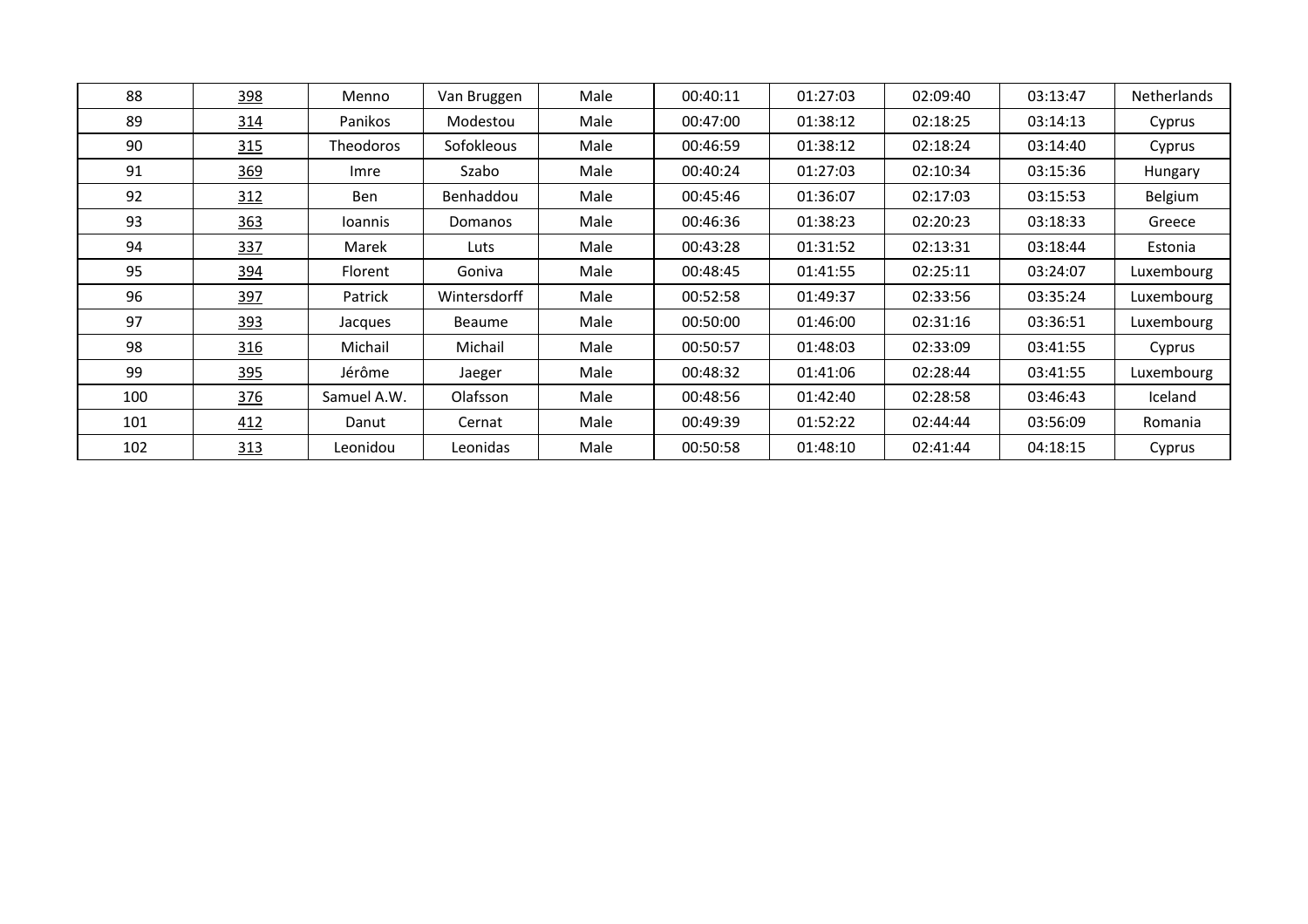| 88  | 398 | Menno          | Van Bruggen  | Male | 00:40:11 | 01:27:03 | 02:09:40 | 03:13:47 | <b>Netherlands</b> |
|-----|-----|----------------|--------------|------|----------|----------|----------|----------|--------------------|
| 89  | 314 | Panikos        | Modestou     | Male | 00:47:00 | 01:38:12 | 02:18:25 | 03:14:13 | Cyprus             |
| 90  | 315 | Theodoros      | Sofokleous   | Male | 00:46:59 | 01:38:12 | 02:18:24 | 03:14:40 | Cyprus             |
| 91  | 369 | Imre           | Szabo        | Male | 00:40:24 | 01:27:03 | 02:10:34 | 03:15:36 | Hungary            |
| 92  | 312 | Ben            | Benhaddou    | Male | 00:45:46 | 01:36:07 | 02:17:03 | 03:15:53 | Belgium            |
| 93  | 363 | <b>Ioannis</b> | Domanos      | Male | 00:46:36 | 01:38:23 | 02:20:23 | 03:18:33 | Greece             |
| 94  | 337 | Marek          | Luts         | Male | 00:43:28 | 01:31:52 | 02:13:31 | 03:18:44 | Estonia            |
| 95  | 394 | Florent        | Goniva       | Male | 00:48:45 | 01:41:55 | 02:25:11 | 03:24:07 | Luxembourg         |
| 96  | 397 | Patrick        | Wintersdorff | Male | 00:52:58 | 01:49:37 | 02:33:56 | 03:35:24 | Luxembourg         |
| 97  | 393 | Jacques        | Beaume       | Male | 00:50:00 | 01:46:00 | 02:31:16 | 03:36:51 | Luxembourg         |
| 98  | 316 | Michail        | Michail      | Male | 00:50:57 | 01:48:03 | 02:33:09 | 03:41:55 | Cyprus             |
| 99  | 395 | Jérôme         | Jaeger       | Male | 00:48:32 | 01:41:06 | 02:28:44 | 03:41:55 | Luxembourg         |
| 100 | 376 | Samuel A.W.    | Olafsson     | Male | 00:48:56 | 01:42:40 | 02:28:58 | 03:46:43 | Iceland            |
| 101 | 412 | Danut          | Cernat       | Male | 00:49:39 | 01:52:22 | 02:44:44 | 03:56:09 | Romania            |
| 102 | 313 | Leonidou       | Leonidas     | Male | 00:50:58 | 01:48:10 | 02:41:44 | 04:18:15 | Cyprus             |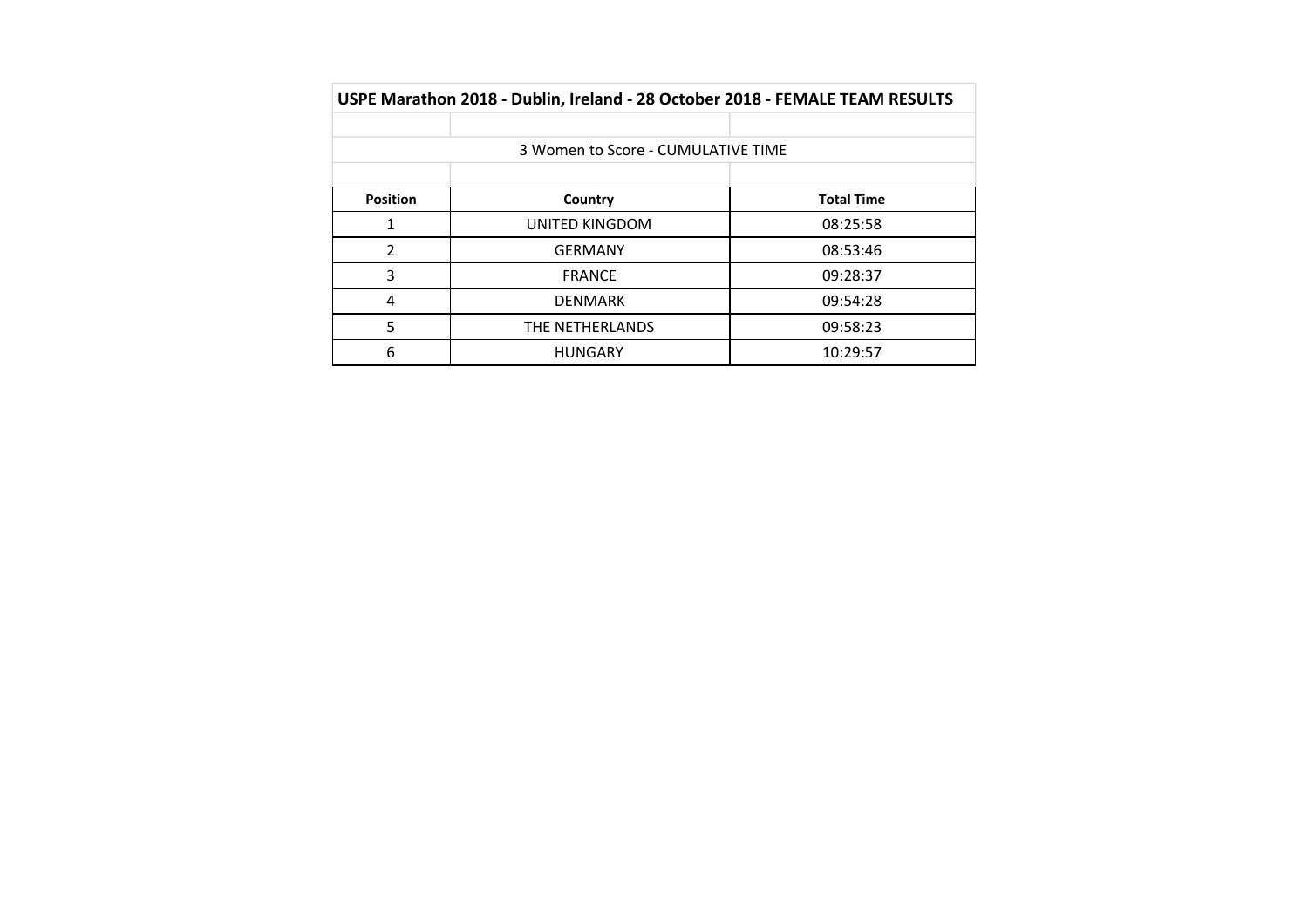|                 | USPE Marathon 2018 - Dublin, Ireland - 28 October 2018 - FEMALE TEAM RESULTS |                   |
|-----------------|------------------------------------------------------------------------------|-------------------|
|                 |                                                                              |                   |
|                 | 3 Women to Score - CUMULATIVE TIME                                           |                   |
|                 |                                                                              |                   |
| <b>Position</b> | Country                                                                      | <b>Total Time</b> |
| 1               | UNITED KINGDOM                                                               | 08:25:58          |
| $\overline{2}$  | <b>GERMANY</b>                                                               | 08:53:46          |
| 3               | <b>FRANCE</b>                                                                | 09:28:37          |
| 4               | <b>DENMARK</b>                                                               | 09:54:28          |
| 5               | THE NETHERLANDS                                                              | 09:58:23          |
| 6               | <b>HUNGARY</b>                                                               | 10:29:57          |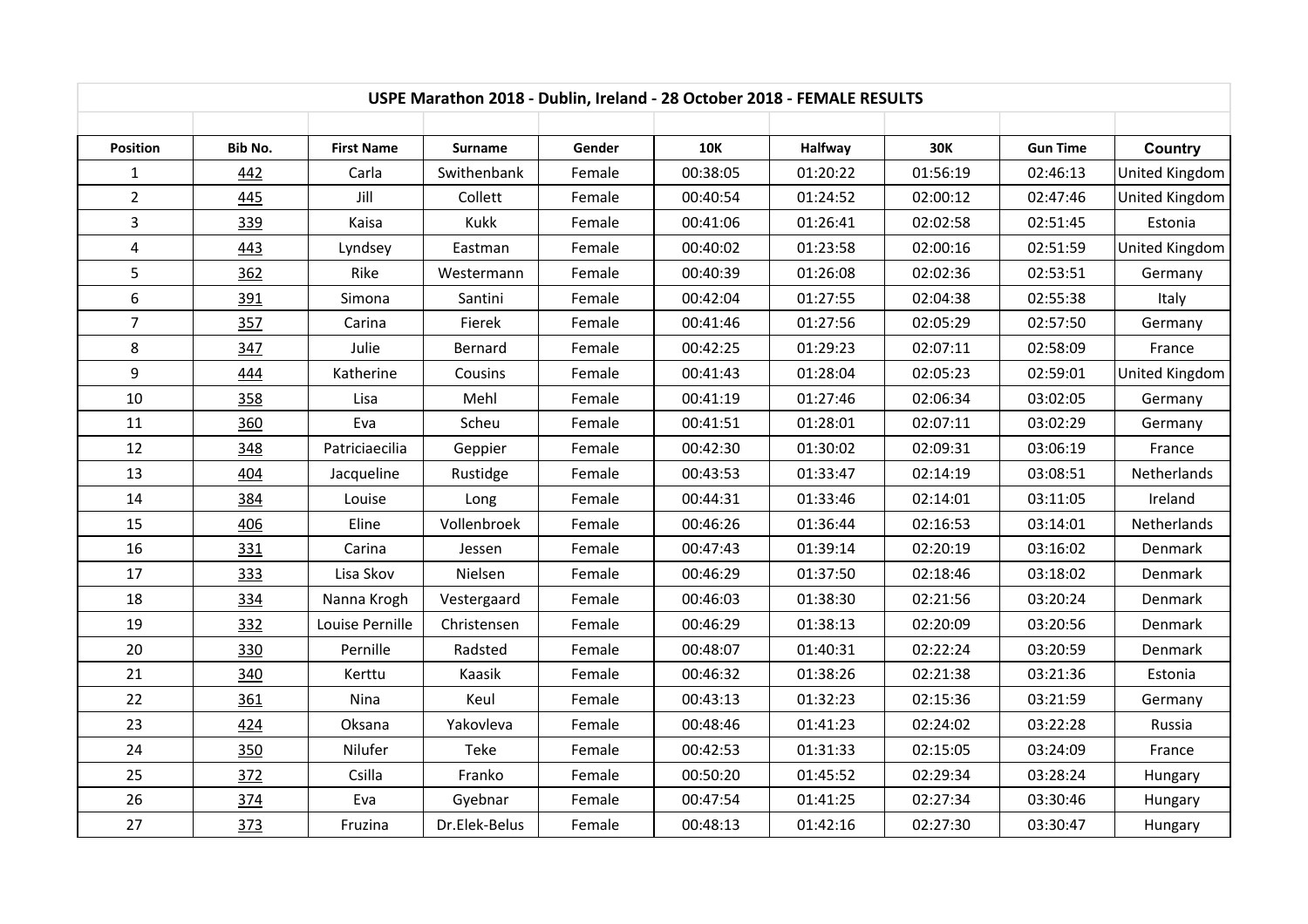| USPE Marathon 2018 - Dublin, Ireland - 28 October 2018 - FEMALE RESULTS |         |                   |                        |        |            |                            |            |                      |                           |  |
|-------------------------------------------------------------------------|---------|-------------------|------------------------|--------|------------|----------------------------|------------|----------------------|---------------------------|--|
| <b>Position</b>                                                         | Bib No. | <b>First Name</b> |                        | Gender | <b>10K</b> |                            | <b>30K</b> | <b>Gun Time</b>      |                           |  |
| $\mathbf{1}$                                                            | 442     | Carla             | Surname<br>Swithenbank | Female | 00:38:05   | <b>Halfway</b><br>01:20:22 | 01:56:19   | 02:46:13             | Country<br>United Kingdom |  |
| $\overline{2}$                                                          | 445     | Jill              | Collett                | Female | 00:40:54   | 01:24:52                   | 02:00:12   | 02:47:46             | United Kingdom            |  |
| $\overline{3}$                                                          |         | Kaisa             | Kukk                   | Female | 00:41:06   | 01:26:41                   | 02:02:58   |                      | Estonia                   |  |
| $\overline{4}$                                                          | 339     |                   |                        |        | 00:40:02   | 01:23:58                   | 02:00:16   | 02:51:45<br>02:51:59 |                           |  |
|                                                                         | 443     | Lyndsey           | Eastman                | Female |            |                            |            |                      | United Kingdom            |  |
| 5                                                                       | 362     | Rike              | Westermann             | Female | 00:40:39   | 01:26:08                   | 02:02:36   | 02:53:51             | Germany                   |  |
| $\boldsymbol{6}$                                                        | 391     | Simona            | Santini                | Female | 00:42:04   | 01:27:55                   | 02:04:38   | 02:55:38             | Italy                     |  |
| $\overline{7}$                                                          | 357     | Carina            | Fierek                 | Female | 00:41:46   | 01:27:56                   | 02:05:29   | 02:57:50             | Germany                   |  |
| 8                                                                       | 347     | Julie             | Bernard                | Female | 00:42:25   | 01:29:23                   | 02:07:11   | 02:58:09             | France                    |  |
| 9                                                                       | 444     | Katherine         | Cousins                | Female | 00:41:43   | 01:28:04                   | 02:05:23   | 02:59:01             | <b>United Kingdom</b>     |  |
| 10                                                                      | 358     | Lisa              | Mehl                   | Female | 00:41:19   | 01:27:46                   | 02:06:34   | 03:02:05             | Germany                   |  |
| 11                                                                      | 360     | Eva               | Scheu                  | Female | 00:41:51   | 01:28:01                   | 02:07:11   | 03:02:29             | Germany                   |  |
| 12                                                                      | 348     | Patriciaecilia    | Geppier                | Female | 00:42:30   | 01:30:02                   | 02:09:31   | 03:06:19             | France                    |  |
| 13                                                                      | 404     | Jacqueline        | Rustidge               | Female | 00:43:53   | 01:33:47                   | 02:14:19   | 03:08:51             | Netherlands               |  |
| 14                                                                      | 384     | Louise            | Long                   | Female | 00:44:31   | 01:33:46                   | 02:14:01   | 03:11:05             | Ireland                   |  |
| 15                                                                      | 406     | Eline             | Vollenbroek            | Female | 00:46:26   | 01:36:44                   | 02:16:53   | 03:14:01             | Netherlands               |  |
| 16                                                                      | 331     | Carina            | Jessen                 | Female | 00:47:43   | 01:39:14                   | 02:20:19   | 03:16:02             | Denmark                   |  |
| 17                                                                      | 333     | Lisa Skov         | Nielsen                | Female | 00:46:29   | 01:37:50                   | 02:18:46   | 03:18:02             | Denmark                   |  |
| 18                                                                      | 334     | Nanna Krogh       | Vestergaard            | Female | 00:46:03   | 01:38:30                   | 02:21:56   | 03:20:24             | Denmark                   |  |
| 19                                                                      | 332     | Louise Pernille   | Christensen            | Female | 00:46:29   | 01:38:13                   | 02:20:09   | 03:20:56             | Denmark                   |  |
| 20                                                                      | 330     | Pernille          | Radsted                | Female | 00:48:07   | 01:40:31                   | 02:22:24   | 03:20:59             | Denmark                   |  |
| 21                                                                      | 340     | Kerttu            | Kaasik                 | Female | 00:46:32   | 01:38:26                   | 02:21:38   | 03:21:36             | Estonia                   |  |
| 22                                                                      | 361     | Nina              | Keul                   | Female | 00:43:13   | 01:32:23                   | 02:15:36   | 03:21:59             | Germany                   |  |
| 23                                                                      | 424     | Oksana            | Yakovleva              | Female | 00:48:46   | 01:41:23                   | 02:24:02   | 03:22:28             | Russia                    |  |
| 24                                                                      | 350     | Nilufer           | Teke                   | Female | 00:42:53   | 01:31:33                   | 02:15:05   | 03:24:09             | France                    |  |
| 25                                                                      | 372     | Csilla            | Franko                 | Female | 00:50:20   | 01:45:52                   | 02:29:34   | 03:28:24             | Hungary                   |  |
| 26                                                                      | 374     | Eva               | Gyebnar                | Female | 00:47:54   | 01:41:25                   | 02:27:34   | 03:30:46             | Hungary                   |  |
| 27                                                                      | 373     | Fruzina           | Dr.Elek-Belus          | Female | 00:48:13   | 01:42:16                   | 02:27:30   | 03:30:47             | Hungary                   |  |